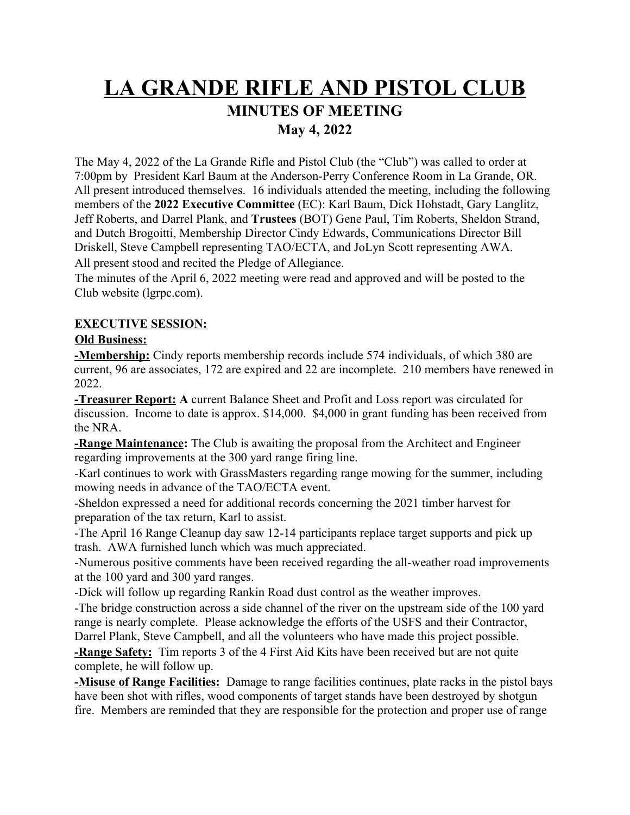# **LA GRANDE RIFLE AND PISTOL CLUB MINUTES OF MEETING May 4, 2022**

The May 4, 2022 of the La Grande Rifle and Pistol Club (the "Club") was called to order at 7:00pm by President Karl Baum at the Anderson-Perry Conference Room in La Grande, OR. All present introduced themselves. 16 individuals attended the meeting, including the following members of the **2022 Executive Committee** (EC): Karl Baum, Dick Hohstadt, Gary Langlitz, Jeff Roberts, and Darrel Plank, and **Trustees** (BOT) Gene Paul, Tim Roberts, Sheldon Strand, and Dutch Brogoitti, Membership Director Cindy Edwards, Communications Director Bill Driskell, Steve Campbell representing TAO/ECTA, and JoLyn Scott representing AWA.

All present stood and recited the Pledge of Allegiance.

The minutes of the April 6, 2022 meeting were read and approved and will be posted to the Club website (lgrpc.com).

## **EXECUTIVE SESSION:**

### **Old Business:**

**-Membership:** Cindy reports membership records include 574 individuals, of which 380 are current, 96 are associates, 172 are expired and 22 are incomplete. 210 members have renewed in 2022.

**-Treasurer Report: A** current Balance Sheet and Profit and Loss report was circulated for discussion. Income to date is approx. \$14,000. \$4,000 in grant funding has been received from the NRA.

**-Range Maintenance:** The Club is awaiting the proposal from the Architect and Engineer regarding improvements at the 300 yard range firing line.

-Karl continues to work with GrassMasters regarding range mowing for the summer, including mowing needs in advance of the TAO/ECTA event.

-Sheldon expressed a need for additional records concerning the 2021 timber harvest for preparation of the tax return, Karl to assist.

-The April 16 Range Cleanup day saw 12-14 participants replace target supports and pick up trash. AWA furnished lunch which was much appreciated.

-Numerous positive comments have been received regarding the all-weather road improvements at the 100 yard and 300 yard ranges.

-Dick will follow up regarding Rankin Road dust control as the weather improves.

-The bridge construction across a side channel of the river on the upstream side of the 100 yard range is nearly complete. Please acknowledge the efforts of the USFS and their Contractor, Darrel Plank, Steve Campbell, and all the volunteers who have made this project possible.

**-Range Safety:** Tim reports 3 of the 4 First Aid Kits have been received but are not quite complete, he will follow up.

**-Misuse of Range Facilities:** Damage to range facilities continues, plate racks in the pistol bays have been shot with rifles, wood components of target stands have been destroyed by shotgun fire. Members are reminded that they are responsible for the protection and proper use of range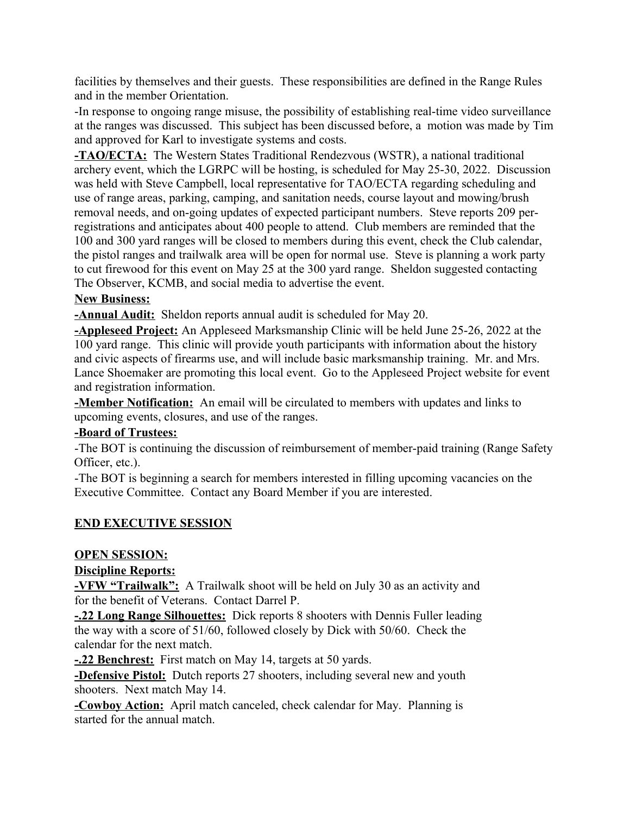facilities by themselves and their guests. These responsibilities are defined in the Range Rules and in the member Orientation.

-In response to ongoing range misuse, the possibility of establishing real-time video surveillance at the ranges was discussed. This subject has been discussed before, a motion was made by Tim and approved for Karl to investigate systems and costs.

**-TAO/ECTA:** The Western States Traditional Rendezvous (WSTR), a national traditional archery event, which the LGRPC will be hosting, is scheduled for May 25-30, 2022. Discussion was held with Steve Campbell, local representative for TAO/ECTA regarding scheduling and use of range areas, parking, camping, and sanitation needs, course layout and mowing/brush removal needs, and on-going updates of expected participant numbers. Steve reports 209 perregistrations and anticipates about 400 people to attend. Club members are reminded that the 100 and 300 yard ranges will be closed to members during this event, check the Club calendar, the pistol ranges and trailwalk area will be open for normal use. Steve is planning a work party to cut firewood for this event on May 25 at the 300 yard range. Sheldon suggested contacting The Observer, KCMB, and social media to advertise the event.

### **New Business:**

**-Annual Audit:** Sheldon reports annual audit is scheduled for May 20.

**-Appleseed Project:** An Appleseed Marksmanship Clinic will be held June 25-26, 2022 at the 100 yard range. This clinic will provide youth participants with information about the history and civic aspects of firearms use, and will include basic marksmanship training. Mr. and Mrs. Lance Shoemaker are promoting this local event. Go to the Appleseed Project website for event and registration information.

**-Member Notification:** An email will be circulated to members with updates and links to upcoming events, closures, and use of the ranges.

### **-Board of Trustees:**

-The BOT is continuing the discussion of reimbursement of member-paid training (Range Safety Officer, etc.).

-The BOT is beginning a search for members interested in filling upcoming vacancies on the Executive Committee. Contact any Board Member if you are interested.

### **END EXECUTIVE SESSION**

#### **OPEN SESSION:**

### **Discipline Reports:**

**-VFW "Trailwalk":** A Trailwalk shoot will be held on July 30 as an activity and for the benefit of Veterans. Contact Darrel P.

**-.22 Long Range Silhouettes:** Dick reports 8 shooters with Dennis Fuller leading the way with a score of 51/60, followed closely by Dick with 50/60. Check the calendar for the next match.

**-.22 Benchrest:** First match on May 14, targets at 50 yards.

**-Defensive Pistol:** Dutch reports 27 shooters, including several new and youth shooters. Next match May 14.

**-Cowboy Action:** April match canceled, check calendar for May. Planning is started for the annual match.